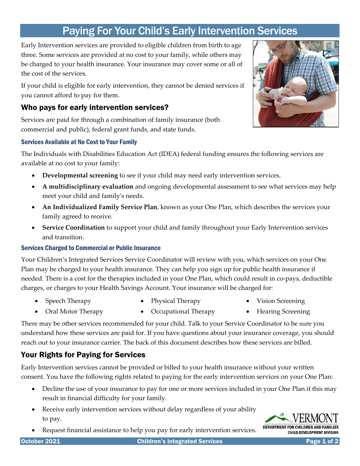# Paying For Your Child's Early Intervention Services

Early Intervention services are provided to eligible children from birth to age three. Some services are provided at no cost to your family, while others may be charged to your health insurance. Your insurance may cover some or all of the cost of the services.

If your child is eligible for early intervention, they cannot be denied services if you cannot afford to pay for them.

## Who pays for early intervention services?

Services are paid for through a combination of family insurance (both commercial and public), federal grant funds, and state funds.

#### Services Available at No Cost to Your Family

The Individuals with Disabilities Education Act (IDEA) federal funding ensures the following services are available at no cost to your family:

- **Developmental screening** to see if your child may need early intervention services.
- **A multidisciplinary evaluation** and ongoing developmental assessment to see what services may help meet your child and family's needs.
- **An Individualized Family Service Plan**, known as your One Plan, which describes the services your family agreed to receive.
- **Service Coordination** to support your child and family throughout your Early Intervention services and transition.

### Services Charged to Commercial or Public Insurance

Your Children's Integrated Services Service Coordinator will review with you, which services on your One Plan may be charged to your health insurance. They can help you sign up for public health insurance if needed. There is a cost for the therapies included in your One Plan, which could result in co-pays, deductible charges, or charges to your Health Savings Account. Your insurance will be charged for:

• Speech Therapy

- Physical Therapy
- Vision Screening
- Oral Motor Therapy • Occupational Therapy • Hearing Screening

There may be other services recommended for your child. Talk to your Service Coordinator to be sure you understand how these services are paid for. If you have questions about your insurance coverage, you should reach out to your insurance carrier. The back of this document describes how these services are billed.

# Your Rights for Paying for Services

Early Intervention services cannot be provided or billed to your health insurance without your written consent. You have the following rights related to paying for the early intervention services on your One Plan:

- Decline the use of your insurance to pay for one or more services included in your One Plan if this may result in financial difficulty for your family.
- Receive early intervention services without delay regardless of your ability to pay.
- Request financial assistance to help you pay for early intervention services.